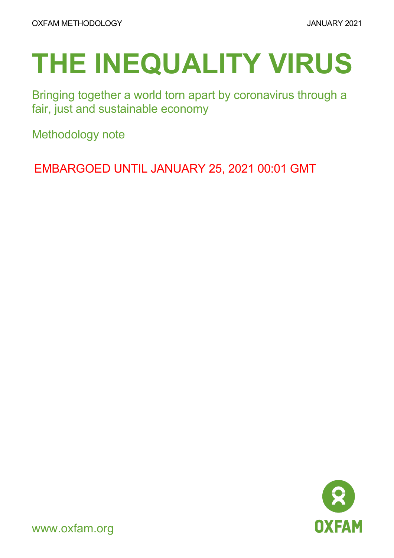# **THE INEQUALITY VIRUS**

Bringing together a world torn apart by coronavirus through a fair, just and sustainable economy

Methodology note

EMBARGOED UNTIL JANUARY 25, 2021 00:01 GMT



www.oxfam.org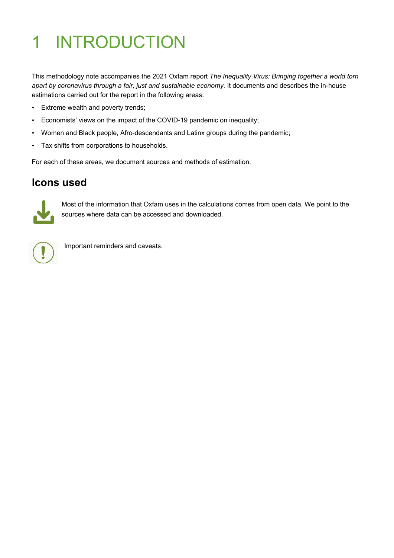## 1 INTRODUCTION

This methodology note accompanies the 2021 Oxfam report *The Inequality Virus: Bringing together a world torn apart by coronavirus through a fair, just and sustainable economy.* It documents and describes the in-house estimations carried out for the report in the following areas:

- Extreme wealth and poverty trends;
- Economists' views on the impact of the COVID-19 pandemic on inequality;
- Women and Black people, Afro-descendants and Latinx groups during the pandemic;
- Tax shifts from corporations to households.

For each of these areas, we document sources and methods of estimation.

#### **Icons used**



Most of the information that Oxfam uses in the calculations comes from open data. We point to the sources where data can be accessed and downloaded.



Important reminders and caveats.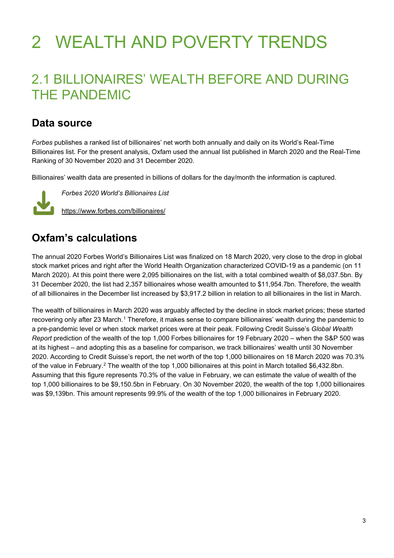## 2 WEALTH AND POVERTY TRENDS

### 2.1 BILLIONAIRES' WEALTH BEFORE AND DURING THE PANDEMIC

#### **Data source**

*Forbes* publishes a ranked list of billionaires' net worth both annually and daily on its World's Real-Time Billionaires list. For the present analysis, Oxfam used the annual list published in March 2020 and the Real-Time Ranking of 30 November 2020 and 31 December 2020.

Billionaires' wealth data are presented in billions of dollars for the day/month the information is captured.



*Forbes 2020 World's Billionaires List*

<https://www.forbes.com/billionaires/>

#### **Oxfam's calculations**

The annual 2020 Forbes World's Billionaires List was finalized on 18 March 2020, very close to the drop in global stock market prices and right after the World Health Organization characterized COVID-19 as a pandemic (on 11 March 2020). At this point there were 2,095 billionaires on the list, with a total combined wealth of \$8,037.5bn. By 31 December 2020, the list had 2,357 billionaires whose wealth amounted to \$11,954.7bn. Therefore, the wealth of all billionaires in the December list increased by \$3,917.2 billion in relation to all billionaires in the list in March.

The wealth of billionaires in March 2020 was arguably affected by the decline in stock market prices; these started recovering only after 23 March.<sup>[1](#page-7-0)</sup> Therefore, it makes sense to compare billionaires' wealth during the pandemic to a pre-pandemic level or when stock market prices were at their peak. Following Credit Suisse's *Global Wealth Report* prediction of the wealth of the top 1,000 Forbes billionaires for 19 February 2020 – when the S&P 500 was at its highest – and adopting this as a baseline for comparison, we track billionaires' wealth until 30 November 2020. According to Credit Suisse's report, the net worth of the top 1,000 billionaires on 18 March 2020 was 70.3% of the value in February.<sup>[2](#page-7-1)</sup> The wealth of the top 1,000 billionaires at this point in March totalled \$6,432.8bn. Assuming that this figure represents 70.3% of the value in February, we can estimate the value of wealth of the top 1,000 billionaires to be \$9,150.5bn in February. On 30 November 2020, the wealth of the top 1,000 billionaires was \$9,139bn. This amount represents 99.9% of the wealth of the top 1,000 billionaires in February 2020.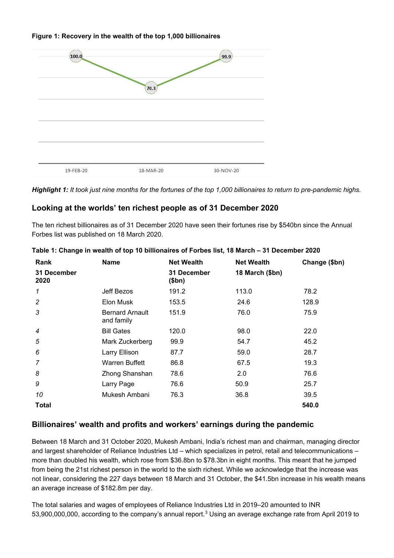#### **Figure 1: Recovery in the wealth of the top 1,000 billionaires**



*Highlight 1: It took just nine months for the fortunes of the top 1,000 billionaires to return to pre-pandemic highs.*

#### **Looking at the worlds' ten richest people as of 31 December 2020**

The ten richest billionaires as of 31 December 2020 have seen their fortunes rise by \$540bn since the Annual Forbes list was published on 18 March 2020.

| Rank                | <b>Name</b>                          | <b>Net Wealth</b>    | <b>Net Wealth</b> | Change (\$bn) |
|---------------------|--------------------------------------|----------------------|-------------------|---------------|
| 31 December<br>2020 |                                      | 31 December<br>\$bn) | 18 March (\$bn)   |               |
| 1                   | Jeff Bezos                           | 191.2                | 113.0             | 78.2          |
| $\overline{c}$      | Elon Musk                            | 153.5                | 24.6              | 128.9         |
| 3                   | <b>Bernard Arnault</b><br>and family | 151.9                | 76.0              | 75.9          |
| 4                   | <b>Bill Gates</b>                    | 120.0                | 98.0              | 22.0          |
| 5                   | Mark Zuckerberg                      | 99.9                 | 54.7              | 45.2          |
| 6                   | Larry Ellison                        | 87.7                 | 59.0              | 28.7          |
| 7                   | <b>Warren Buffett</b>                | 86.8                 | 67.5              | 19.3          |
| 8                   | Zhong Shanshan                       | 78.6                 | 2.0               | 76.6          |
| 9                   | Larry Page                           | 76.6                 | 50.9              | 25.7          |
| 10                  | Mukesh Ambani                        | 76.3                 | 36.8              | 39.5          |
| Total               |                                      |                      |                   | 540.0         |

| Table 1: Change in wealth of top 10 billionaires of Forbes list, 18 March – 31 December 2020 |  |  |
|----------------------------------------------------------------------------------------------|--|--|
|                                                                                              |  |  |

#### **Billionaires' wealth and profits and workers' earnings during the pandemic**

Between 18 March and 31 October 2020, Mukesh Ambani, India's richest man and chairman, managing director and largest shareholder of Reliance Industries Ltd – which specializes in petrol, retail and telecommunications – more than doubled his wealth, which rose from \$36.8bn to \$78.3bn in eight months. This meant that he jumped from being the 21st richest person in the world to the sixth richest. While we acknowledge that the increase was not linear, considering the 227 days between 18 March and 31 October, the \$41.5bn increase in his wealth means an average increase of \$182.8m per day.

The total salaries and wages of employees of Reliance Industries Ltd in 2019–20 amounted to INR 5[3](#page-7-2),900,000,000, according to the company's annual report.<sup>3</sup> Using an average exchange rate from April 2019 to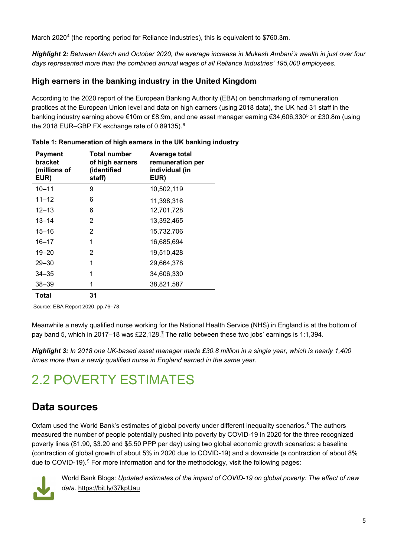March 2020<sup>[4](#page-7-3)</sup> (the reporting period for Reliance Industries), this is equivalent to \$760.3m.

*Highlight 2: Between March and October 2020, the average increase in Mukesh Ambani's wealth in just over four days represented more than the combined annual wages of all Reliance Industries' 195,000 employees.*

#### **High earners in the banking industry in the United Kingdom**

According to the 2020 report of the European Banking Authority (EBA) on benchmarking of remuneration practices at the European Union level and data on high earners (using 2018 data), the UK had 31 staff in the banking industry earning above €10m or £8.9m, and one asset manager earning €34,606,330[5](#page-7-4) or £30.8m (using the 2018 EUR–GBP FX exchange rate of 0.89135).<sup>[6](#page-7-5)</sup>

| <b>Payment</b><br>bracket<br>(millions of<br>EUR) | <b>Total number</b><br>of high earners<br>(identified<br>staff) | Average total<br>remuneration per<br>individual (in<br>EUR) |
|---------------------------------------------------|-----------------------------------------------------------------|-------------------------------------------------------------|
| $10 - 11$                                         | 9                                                               | 10,502,119                                                  |
| $11 - 12$                                         | 6                                                               | 11,398,316                                                  |
| $12 - 13$                                         | 6                                                               | 12,701,728                                                  |
| $13 - 14$                                         | 2                                                               | 13,392,465                                                  |
| $15 - 16$                                         | 2                                                               | 15,732,706                                                  |
| $16 - 17$                                         | 1                                                               | 16,685,694                                                  |
| $19 - 20$                                         | 2                                                               | 19,510,428                                                  |
| $29 - 30$                                         | 1                                                               | 29,664,378                                                  |
| 34–35                                             | 1                                                               | 34,606,330                                                  |
| $38 - 39$                                         | 1                                                               | 38,821,587                                                  |
| Total                                             | 31                                                              |                                                             |

#### **Table 1: Renumeration of high earners in the UK banking industry**

Source: EBA Report 2020, pp.76–78.

Meanwhile a newly qualified nurse working for the National Health Service (NHS) in England is at the bottom of pay band 5, which in 201[7](#page-7-6)–18 was £22,128.<sup>7</sup> The ratio between these two jobs' earnings is 1:1,394.

*Highlight 3: In 2018 one UK-based asset manager made £30.8 million in a single year, which is nearly 1,400 times more than a newly qualified nurse in England earned in the same year.*

## 2.2 POVERTY ESTIMATES

### **Data sources**

Oxfam used the World Bank's estimates of global poverty under different inequality scenarios.<sup>[8](#page-7-7)</sup> The authors measured the number of people potentially pushed into poverty by COVID-19 in 2020 for the three recognized poverty lines (\$1.90, \$3.20 and \$5.50 PPP per day) using two global economic growth scenarios: a baseline (contraction of global growth of about 5% in 2020 due to COVID-19) and a downside (a contraction of about 8% due to COVID-19). [9](#page-7-8) For more information and for the methodology, visit the following pages:



World Bank Blogs: *Updated estimates of the impact of COVID-19 on global poverty: The effect of new data*.<https://bit.ly/37kpUau>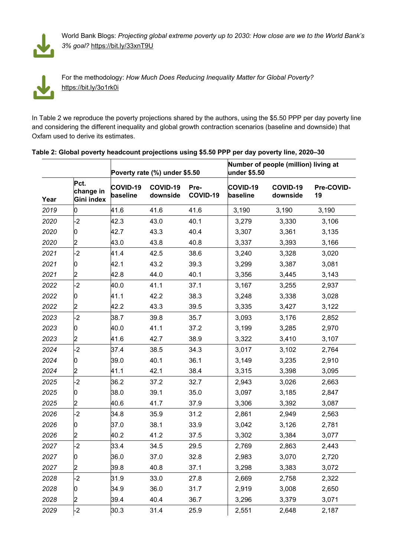

World Bank Blogs: *Projecting global extreme poverty up to 2030: How close are we to the World Bank's 3% goal?* <https://bit.ly/33xnT9U>



For the methodology: *How Much Does Reducing Inequality Matter for Global Poverty?* <https://bit.ly/3o1rk0i>

In Table 2 we reproduce the poverty projections shared by the authors, using the \$5.50 PPP per day poverty line and considering the different inequality and global growth contraction scenarios (baseline and downside) that Oxfam used to derive its estimates.

|      |                                 | Poverty rate (%) under \$5.50 |                      |                  | Number of people (million) living at<br>under \$5.50 |                      |                  |
|------|---------------------------------|-------------------------------|----------------------|------------------|------------------------------------------------------|----------------------|------------------|
| Year | Pct.<br>change in<br>Gini index | <b>COVID-19</b><br>baseline   | COVID-19<br>downside | Pre-<br>COVID-19 | <b>COVID-19</b><br>baseline                          | COVID-19<br>downside | Pre-COVID-<br>19 |
| 2019 | 0                               | 41.6                          | 41.6                 | 41.6             | 3,190                                                | 3,190                | 3,190            |
| 2020 | $-2$                            | 42.3                          | 43.0                 | 40.1             | 3,279                                                | 3,330                | 3,106            |
| 2020 | 0                               | 42.7                          | 43.3                 | 40.4             | 3,307                                                | 3,361                | 3,135            |
| 2020 | 2                               | 43.0                          | 43.8                 | 40.8             | 3,337                                                | 3,393                | 3,166            |
| 2021 | $-2$                            | 41.4                          | 42.5                 | 38.6             | 3,240                                                | 3,328                | 3,020            |
| 2021 | 0                               | 42.1                          | 43.2                 | 39.3             | 3,299                                                | 3,387                | 3,081            |
| 2021 | 2                               | 42.8                          | 44.0                 | 40.1             | 3,356                                                | 3,445                | 3,143            |
| 2022 | $-2$                            | 40.0                          | 41.1                 | 37.1             | 3,167                                                | 3,255                | 2,937            |
| 2022 | 0                               | 41.1                          | 42.2                 | 38.3             | 3,248                                                | 3,338                | 3,028            |
| 2022 | 2                               | 42.2                          | 43.3                 | 39.5             | 3,335                                                | 3,427                | 3,122            |
| 2023 | $-2$                            | 38.7                          | 39.8                 | 35.7             | 3,093                                                | 3,176                | 2,852            |
| 2023 | 0                               | 40.0                          | 41.1                 | 37.2             | 3,199                                                | 3,285                | 2,970            |
| 2023 | 2                               | 41.6                          | 42.7                 | 38.9             | 3,322                                                | 3,410                | 3,107            |
| 2024 | $-2$                            | 37.4                          | 38.5                 | 34.3             | 3,017                                                | 3,102                | 2,764            |
| 2024 | 0                               | 39.0                          | 40.1                 | 36.1             | 3,149                                                | 3,235                | 2,910            |
| 2024 | 2                               | 41.1                          | 42.1                 | 38.4             | 3,315                                                | 3,398                | 3,095            |
| 2025 | $-2$                            | 36.2                          | 37.2                 | 32.7             | 2,943                                                | 3,026                | 2,663            |
| 2025 | 0                               | 38.0                          | 39.1                 | 35.0             | 3,097                                                | 3,185                | 2,847            |
| 2025 | 2                               | 40.6                          | 41.7                 | 37.9             | 3,306                                                | 3,392                | 3,087            |
| 2026 | $-2$                            | 34.8                          | 35.9                 | 31.2             | 2,861                                                | 2,949                | 2,563            |
| 2026 | 0                               | 37.0                          | 38.1                 | 33.9             | 3,042                                                | 3,126                | 2,781            |
| 2026 | 2                               | 40.2                          | 41.2                 | 37.5             | 3,302                                                | 3,384                | 3,077            |
| 2027 | $-2$                            | 33.4                          | 34.5                 | 29.5             | 2,769                                                | 2,863                | 2,443            |
| 2027 | 0                               | 36.0                          | 37.0                 | 32.8             | 2,983                                                | 3,070                | 2,720            |
| 2027 | 2                               | 39.8                          | 40.8                 | 37.1             | 3,298                                                | 3,383                | 3,072            |
| 2028 | $-2$                            | 31.9                          | 33.0                 | 27.8             | 2,669                                                | 2,758                | 2,322            |
| 2028 | 0                               | 34.9                          | 36.0                 | 31.7             | 2,919                                                | 3,008                | 2,650            |
| 2028 | 2                               | 39.4                          | 40.4                 | 36.7             | 3,296                                                | 3,379                | 3,071            |
| 2029 | $-2$                            | 30.3                          | 31.4                 | 25.9             | 2,551                                                | 2,648                | 2,187            |

#### **Table 2: Global poverty headcount projections using \$5.50 PPP per day poverty line, 2020–30**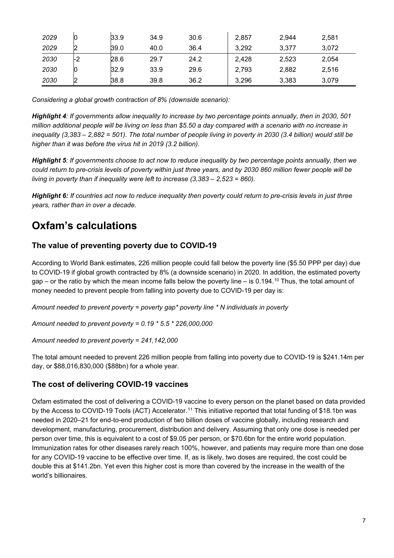| 2029 |    | 33.9 | 34.9 | 30.6 | 2,857 | 2,944 | 2,581 |
|------|----|------|------|------|-------|-------|-------|
| 2029 |    | 39.0 | 40.0 | 36.4 | 3,292 | 3,377 | 3,072 |
| 2030 | -2 | 28.6 | 29.7 | 24.2 | 2,428 | 2,523 | 2,054 |
| 2030 |    | 32.9 | 33.9 | 29.6 | 2,793 | 2,882 | 2,516 |
| 2030 |    | 38.8 | 39.8 | 36.2 | 3,296 | 3,383 | 3,079 |

*Considering a global growth contraction of 8% (downside scenario):*

*Highlight 4: If governments allow inequality to increase by two percentage points annually, then in 2030, 501 million additional people will be living on less than \$5.50 a day compared with a scenario with no increase in inequality (3,383 – 2,882 = 501). The total number of people living in poverty in 2030 (3.4 billion) would still be higher than it was before the virus hit in 2019 (3.2 billion).*

*Highlight 5: If governments choose to act now to reduce inequality by two percentage points annually, then we could return to pre-crisis levels of poverty within just three years, and by 2030 860 million fewer people will be living in poverty than if inequality were left to increase (3,383 – 2,523 = 860).*

*Highlight 6: If countries act now to reduce inequality then poverty could return to pre-crisis levels in just three years, rather than in over a decade.*

#### **Oxfam's calculations**

#### **The value of preventing poverty due to COVID-19**

According to World Bank estimates, 226 million people could fall below the poverty line (\$5.50 PPP per day) due to COVID-19 if global growth contracted by 8% (a downside scenario) in 2020. In addition, the estimated poverty gap – or the ratio by which the mean income falls below the poverty line – is 0.194.<sup>10</sup> Thus, the total amount of money needed to prevent people from falling into poverty due to COVID-19 per day is:

*Amount needed to prevent poverty = poverty gap\* poverty line \* N individuals in poverty*

*Amount needed to prevent poverty = 0.19 \* 5.5 \* 226,000,000*

*Amount needed to prevent poverty = 241,142,000*

The total amount needed to prevent 226 million people from falling into poverty due to COVID-19 is \$241.14m per day, or \$88,016,830,000 (\$88bn) for a whole year.

#### **The cost of delivering COVID-19 vaccines**

Oxfam estimated the cost of delivering a COVID-19 vaccine to every person on the planet based on data provided by the Access to COVID-19 Tools (ACT) Accelerator.<sup>[11](#page-7-10)</sup> This initiative reported that total funding of \$18.1bn was needed in 2020–21 for end-to-end production of two billion doses of vaccine globally, including research and development, manufacturing, procurement, distribution and delivery. Assuming that only one dose is needed per person over time, this is equivalent to a cost of \$9.05 per person, or \$70.6bn for the entire world population. Immunization rates for other diseases rarely reach 100%, however, and patients may require more than one dose for any COVID-19 vaccine to be effective over time. If, as is likely, two doses are required, the cost could be double this at \$141.2bn. Yet even this higher cost is more than covered by the increase in the wealth of the world's billionaires.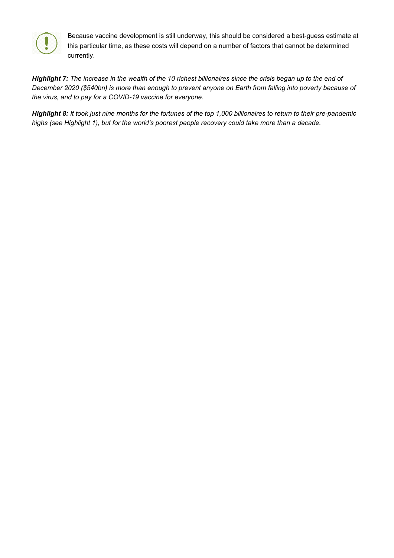

Because vaccine development is still underway, this should be considered a best-guess estimate at this particular time, as these costs will depend on a number of factors that cannot be determined currently.

<span id="page-7-0"></span>*Highlight 7: The increase in the wealth of the 10 richest billionaires since the crisis began up to the end of December 2020 (\$540bn) is more than enough to prevent anyone on Earth from falling into poverty because of the virus, and to pay for a COVID-19 vaccine for everyone.* 

<span id="page-7-10"></span><span id="page-7-9"></span><span id="page-7-8"></span><span id="page-7-7"></span><span id="page-7-6"></span><span id="page-7-5"></span><span id="page-7-4"></span><span id="page-7-3"></span><span id="page-7-2"></span><span id="page-7-1"></span>*Highlight 8: It took just nine months for the fortunes of the top 1,000 billionaires to return to their pre-pandemic highs (see Highlight 1), but for the world's poorest people recovery could take more than a decade.*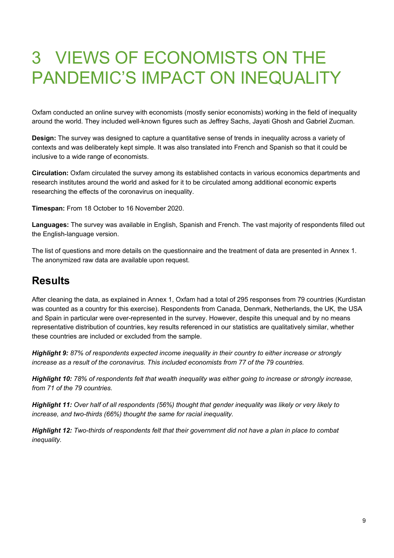## 3 VIEWS OF ECONOMISTS ON THE PANDEMIC'S IMPACT ON INEQUALITY

Oxfam conducted an online survey with economists (mostly senior economists) working in the field of inequality around the world. They included well-known figures such as Jeffrey Sachs, Jayati Ghosh and Gabriel Zucman.

**Design:** The survey was designed to capture a quantitative sense of trends in inequality across a variety of contexts and was deliberately kept simple. It was also translated into French and Spanish so that it could be inclusive to a wide range of economists.

**Circulation:** Oxfam circulated the survey among its established contacts in various economics departments and research institutes around the world and asked for it to be circulated among additional economic experts researching the effects of the coronavirus on inequality.

**Timespan:** From 18 October to 16 November 2020.

**Languages:** The survey was available in English, Spanish and French. The vast majority of respondents filled out the English-language version.

The list of questions and more details on the questionnaire and the treatment of data are presented in Annex 1. The anonymized raw data are available upon request.

#### **Results**

After cleaning the data, as explained in Annex 1, Oxfam had a total of 295 responses from 79 countries (Kurdistan was counted as a country for this exercise). Respondents from Canada, Denmark, Netherlands, the UK, the USA and Spain in particular were over-represented in the survey. However, despite this unequal and by no means representative distribution of countries, key results referenced in our statistics are qualitatively similar, whether these countries are included or excluded from the sample.

*Highlight 9: 87% of respondents expected income inequality in their country to either increase or strongly increase as a result of the coronavirus. This included economists from 77 of the 79 countries.* 

*Highlight 10: 78% of respondents felt that wealth inequality was either going to increase or strongly increase, from 71 of the 79 countries.* 

*Highlight 11: Over half of all respondents (56%) thought that gender inequality was likely or very likely to increase, and two-thirds (66%) thought the same for racial inequality.* 

*Highlight 12: Two-thirds of respondents felt that their government did not have a plan in place to combat inequality.*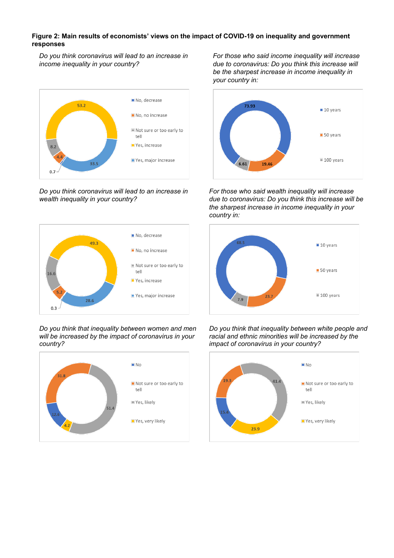#### **Figure 2: Main results of economists' views on the impact of COVID-19 on inequality and government responses**

*Do you think coronavirus will lead to an increase in income inequality in your country?*



*Do you think coronavirus will lead to an increase in wealth inequality in your country?*



#### *Do you think that inequality between women and men will be increased by the impact of coronavirus in your country?*



*For those who said income inequality will increase due to coronavirus: Do you think this increase will be the sharpest increase in income inequality in your country in:*



*For those who said wealth inequality will increase due to coronavirus: Do you think this increase will be the sharpest increase in income inequality in your country in:*



*Do you think that inequality between white people and racial and ethnic minorities will be increased by the impact of coronavirus in your country?*

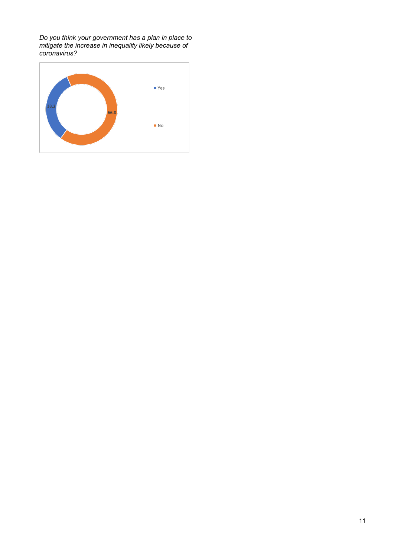*Do you think your government has a plan in place to mitigate the increase in inequality likely because of coronavirus?*

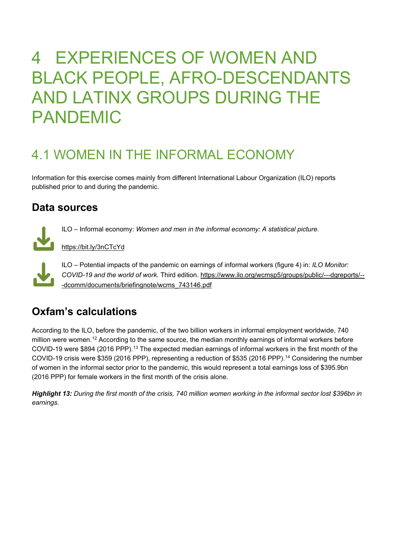## 4 EXPERIENCES OF WOMEN AND BLACK PEOPLE, AFRO-DESCENDANTS AND LATINX GROUPS DURING THE PANDEMIC

## 4.1 WOMEN IN THE INFORMAL ECONOMY

Information for this exercise comes mainly from different International Labour Organization (ILO) reports published prior to and during the pandemic.

#### **Data sources**



ILO – Informal economy: *Women and men in the informal economy: A statistical picture*.

<https://bit.ly/3nCTcYd>



ILO – Potential impacts of the pandemic on earnings of informal workers (figure 4) in: *ILO Monitor: COVID-19 and the world of work*. Third edition. [https://www.ilo.org/wcmsp5/groups/public/---dgreports/--](https://www.ilo.org/wcmsp5/groups/public/---dgreports/---dcomm/documents/briefingnote/wcms_743146.pdf) [-dcomm/documents/briefingnote/wcms\\_743146.pdf](https://www.ilo.org/wcmsp5/groups/public/---dgreports/---dcomm/documents/briefingnote/wcms_743146.pdf)

### **Oxfam's calculations**

According to the ILO, before the pandemic, of the two billion workers in informal employment worldwide, 740 million were women.<sup>[12](#page-15-0)</sup> According to the same source, the median monthly earnings of informal workers before COVID-19 were \$894 (2016 PPP).<sup>13</sup> The expected median earnings of informal workers in the first month of the COVID-19 crisis were \$359 (2016 PPP), representing a reduction of \$535 (2016 PPP).<sup>[14](#page-15-2)</sup> Considering the number of women in the informal sector prior to the pandemic, this would represent a total earnings loss of \$395.9bn (2016 PPP) for female workers in the first month of the crisis alone.

*Highlight 13: During the first month of the crisis, 740 million women working in the informal sector lost \$396bn in earnings.*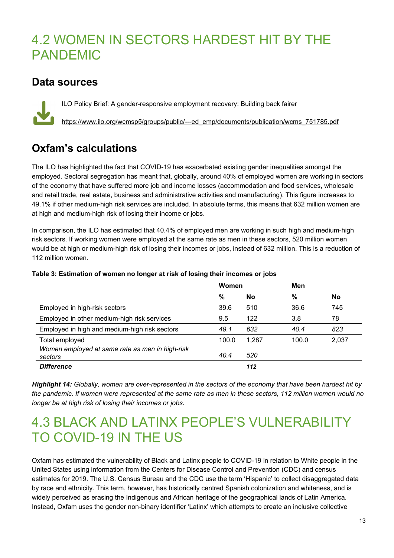### 4.2 WOMEN IN SECTORS HARDEST HIT BY THE PANDEMIC

#### **Data sources**

ILO Policy Brief: A gender-responsive employment recovery: Building back fairer [https://www.ilo.org/wcmsp5/groups/public/---ed\\_emp/documents/publication/wcms\\_751785.pdf](https://www.ilo.org/wcmsp5/groups/public/---ed_emp/documents/publication/wcms_751785.pdf)

### **Oxfam's calculations**

The ILO has highlighted the fact that COVID-19 has exacerbated existing gender inequalities amongst the employed. Sectoral segregation has meant that, globally, around 40% of employed women are working in sectors of the economy that have suffered more job and income losses (accommodation and food services, wholesale and retail trade, real estate, business and administrative activities and manufacturing). This figure increases to 49.1% if other medium-high risk services are included. In absolute terms, this means that 632 million women are at high and medium-high risk of losing their income or jobs.

In comparison, the ILO has estimated that 40.4% of employed men are working in such high and medium-high risk sectors. If working women were employed at the same rate as men in these sectors, 520 million women would be at high or medium-high risk of losing their incomes or jobs, instead of 632 million. This is a reduction of 112 million women.

|                                                            | Women         |       | Men   |       |
|------------------------------------------------------------|---------------|-------|-------|-------|
|                                                            | $\frac{0}{0}$ | No    | %     | No    |
| Employed in high-risk sectors                              | 39.6          | 510   | 36.6  | 745   |
| Employed in other medium-high risk services                | 9.5           | 122   | 3.8   | 78    |
| Employed in high and medium-high risk sectors              | 49.1          | 632   | 40.4  | 823   |
| Total employed                                             | 100.0         | 1.287 | 100.0 | 2,037 |
| Women employed at same rate as men in high-risk<br>sectors | 40.4          | 520   |       |       |
| <b>Difference</b>                                          |               | 112   |       |       |

#### **Table 3: Estimation of women no longer at risk of losing their incomes or jobs**

*Highlight 14: Globally, women are over-represented in the sectors of the economy that have been hardest hit by the pandemic. If women were represented at the same rate as men in these sectors, 112 million women would no longer be at high risk of losing their incomes or jobs.*

### 4.3 BLACK AND LATINX PEOPLE'S VULNERABILITY TO COVID-19 IN THE US

Oxfam has estimated the vulnerability of Black and Latinx people to COVID-19 in relation to White people in the United States using information from the Centers for Disease Control and Prevention (CDC) and census estimates for 2019. The U.S. Census Bureau and the CDC use the term 'Hispanic' to collect disaggregated data by race and ethnicity. This term, however, has historically centred Spanish colonization and whiteness, and is widely perceived as erasing the Indigenous and African heritage of the geographical lands of Latin America. Instead, Oxfam uses the gender non-binary identifier 'Latinx' which attempts to create an inclusive collective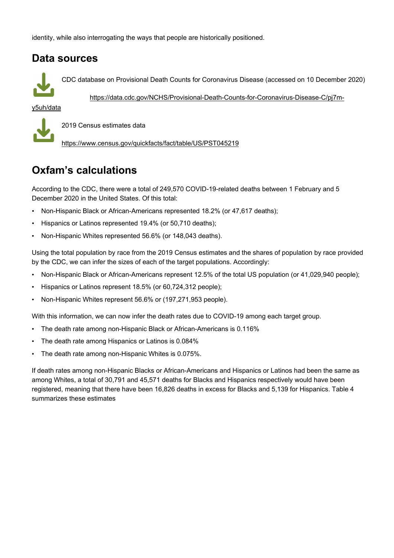identity, while also interrogating the ways that people are historically positioned.

#### **Data sources**



CDC database on Provisional Death Counts for Coronavirus Disease (accessed on 10 December 2020)

[https://data.cdc.gov/NCHS/Provisional-Death-Counts-for-Coronavirus-Disease-C/pj7m-](https://data.cdc.gov/NCHS/Provisional-Death-Counts-for-Coronavirus-Disease-C/pj7m-y5uh/data)

[y5uh/data](https://data.cdc.gov/NCHS/Provisional-Death-Counts-for-Coronavirus-Disease-C/pj7m-y5uh/data)



2019 Census estimates data

<https://www.census.gov/quickfacts/fact/table/US/PST045219>

#### **Oxfam's calculations**

According to the CDC, there were a total of 249,570 COVID-19-related deaths between 1 February and 5 December 2020 in the United States. Of this total:

- Non-Hispanic Black or African-Americans represented 18.2% (or 47,617 deaths);
- Hispanics or Latinos represented 19.4% (or 50,710 deaths);
- Non-Hispanic Whites represented 56.6% (or 148,043 deaths).

Using the total population by race from the 2019 Census estimates and the shares of population by race provided by the CDC, we can infer the sizes of each of the target populations. Accordingly:

- Non-Hispanic Black or African-Americans represent 12.5% of the total US population (or 41,029,940 people);
- Hispanics or Latinos represent 18.5% (or 60,724,312 people);
- Non-Hispanic Whites represent 56.6% or (197,271,953 people).

With this information, we can now infer the death rates due to COVID-19 among each target group.

- The death rate among non-Hispanic Black or African-Americans is 0.116%
- The death rate among Hispanics or Latinos is 0.084%
- The death rate among non-Hispanic Whites is 0.075%.

If death rates among non-Hispanic Blacks or African-Americans and Hispanics or Latinos had been the same as among Whites, a total of 30,791 and 45,571 deaths for Blacks and Hispanics respectively would have been registered, meaning that there have been 16,826 deaths in excess for Blacks and 5,139 for Hispanics. Table 4 summarizes these estimates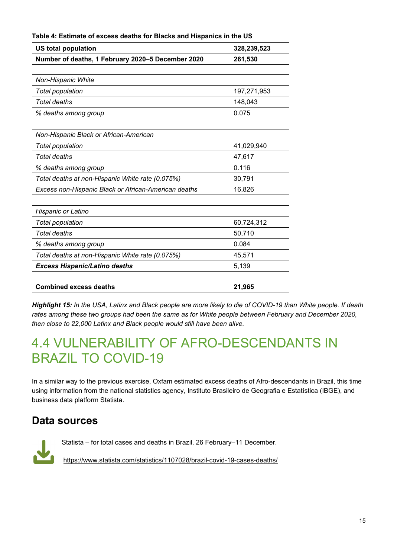| <b>US total population</b>                           | 328,239,523 |
|------------------------------------------------------|-------------|
| Number of deaths, 1 February 2020-5 December 2020    | 261,530     |
|                                                      |             |
| Non-Hispanic White                                   |             |
| Total population                                     | 197,271,953 |
| Total deaths                                         | 148,043     |
| % deaths among group                                 | 0.075       |
|                                                      |             |
| Non-Hispanic Black or African-American               |             |
| Total population                                     | 41,029,940  |
| <b>Total deaths</b>                                  | 47,617      |
| % deaths among group                                 | 0.116       |
| Total deaths at non-Hispanic White rate (0.075%)     | 30,791      |
| Excess non-Hispanic Black or African-American deaths | 16,826      |
| Hispanic or Latino                                   |             |
| Total population                                     | 60,724,312  |
| Total deaths                                         | 50,710      |
| % deaths among group                                 | 0.084       |
| Total deaths at non-Hispanic White rate (0.075%)     | 45,571      |
| <b>Excess Hispanic/Latino deaths</b>                 | 5,139       |
| <b>Combined excess deaths</b>                        | 21,965      |

**Table 4: Estimate of excess deaths for Blacks and Hispanics in the US**

*Highlight 15: In the USA, Latinx and Black people are more likely to die of COVID-19 than White people. If death rates among these two groups had been the same as for White people between February and December 2020, then close to 22,000 Latinx and Black people would still have been alive.*

### 4.4 VULNERABILITY OF AFRO-DESCENDANTS IN BRAZIL TO COVID-19

In a similar way to the previous exercise, Oxfam estimated excess deaths of Afro-descendants in Brazil, this time using information from the national statistics agency, Instituto Brasileiro de Geografia e Estatística (IBGE), and business data platform Statista.

#### **Data sources**

Statista – for total cases and deaths in Brazil, 26 February–11 December. https://www.statista.com/statistics/1107028/brazil-covid-19-cases-deaths/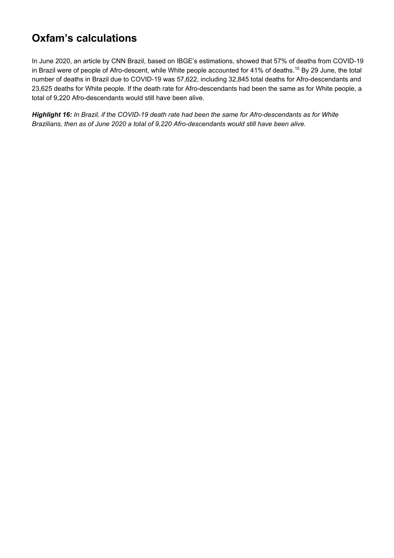### **Oxfam's calculations**

In June 2020, an article by CNN Brazil, based on IBGE's estimations, showed that 57% of deaths from COVID-19 in Brazil were of people of Afro-descent, while White people accounted for 41% of deaths.<sup>[15](#page-15-3)</sup> By 29 June, the total number of deaths in Brazil due to COVID-19 was 57,622, including 32,845 total deaths for Afro-descendants and 23,625 deaths for White people. If the death rate for Afro-descendants had been the same as for White people, a total of 9,220 Afro-descendants would still have been alive.

<span id="page-15-3"></span><span id="page-15-2"></span><span id="page-15-1"></span><span id="page-15-0"></span>*Highlight 16: In Brazil, if the COVID-19 death rate had been the same for Afro-descendants as for White Brazilians, then as of June 2020 a total of 9,220 Afro-descendants would still have been alive.*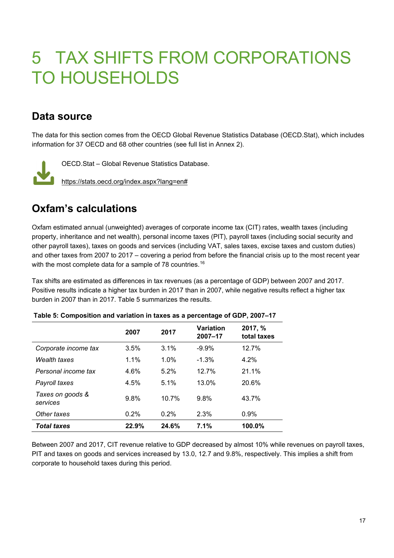## 5 TAX SHIFTS FROM CORPORATIONS TO HOUSEHOLDS

### **Data source**

The data for this section comes from the OECD Global Revenue Statistics Database (OECD.Stat), which includes information for 37 OECD and 68 other countries (see full list in Annex 2).



OECD.Stat – Global Revenue Statistics Database.

[https://stats.oecd.org/index.aspx?lang=en#](https://stats.oecd.org/index.aspx?lang=en)

### **Oxfam's calculations**

Oxfam estimated annual (unweighted) averages of corporate income tax (CIT) rates, wealth taxes (including property, inheritance and net wealth), personal income taxes (PIT), payroll taxes (including social security and other payroll taxes), taxes on goods and services (including VAT, sales taxes, excise taxes and custom duties) and other taxes from 2007 to 2017 – covering a period from before the financial crisis up to the most recent year with the most complete data for a sample of 78 countries.<sup>[16](#page-18-0)</sup>

Tax shifts are estimated as differences in tax revenues (as a percentage of GDP) between 2007 and 2017. Positive results indicate a higher tax burden in 2017 than in 2007, while negative results reflect a higher tax burden in 2007 than in 2017. Table 5 summarizes the results.

|                              | 2007  | 2017  | <b>Variation</b><br>2007-17 | 2017, %<br>total taxes |
|------------------------------|-------|-------|-----------------------------|------------------------|
| Corporate income tax         | 3.5%  | 3.1%  | $-9.9%$                     | 12.7%                  |
| Wealth taxes                 | 1.1%  | 1.0%  | $-1.3%$                     | $4.2\%$                |
| Personal income tax          | 4.6%  | 5.2%  | 12.7%                       | 21.1%                  |
| Payroll taxes                | 4.5%  | 5.1%  | $13.0\%$                    | 20.6%                  |
| Taxes on goods &<br>services | 9.8%  | 10.7% | 9.8%                        | 43.7%                  |
| Other taxes                  | 0.2%  | 0.2%  | 2.3%                        | 0.9%                   |
| <b>Total taxes</b>           | 22.9% | 24.6% | 7.1%                        | $100.0\%$              |

#### **Table 5: Composition and variation in taxes as a percentage of GDP, 2007–17**

Between 2007 and 2017, CIT revenue relative to GDP decreased by almost 10% while revenues on payroll taxes, PIT and taxes on goods and services increased by 13.0, 12.7 and 9.8%, respectively. This implies a shift from corporate to household taxes during this period.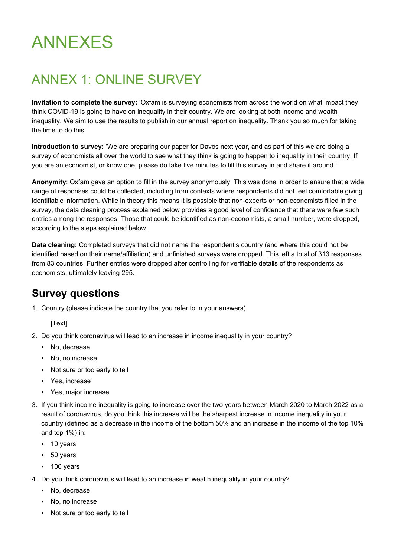## ANNEXES

## ANNEX 1: ONLINE SURVEY

**Invitation to complete the survey:** 'Oxfam is surveying economists from across the world on what impact they think COVID-19 is going to have on inequality in their country. We are looking at both income and wealth inequality. We aim to use the results to publish in our annual report on inequality. Thank you so much for taking the time to do this.'

**Introduction to survey:** 'We are preparing our paper for Davos next year, and as part of this we are doing a survey of economists all over the world to see what they think is going to happen to inequality in their country. If you are an economist, or know one, please do take five minutes to fill this survey in and share it around.'

**Anonymity**: Oxfam gave an option to fill in the survey anonymously. This was done in order to ensure that a wide range of responses could be collected, including from contexts where respondents did not feel comfortable giving identifiable information. While in theory this means it is possible that non-experts or non-economists filled in the survey, the data cleaning process explained below provides a good level of confidence that there were few such entries among the responses. Those that could be identified as non-economists, a small number, were dropped, according to the steps explained below.

**Data cleaning:** Completed surveys that did not name the respondent's country (and where this could not be identified based on their name/affiliation) and unfinished surveys were dropped. This left a total of 313 responses from 83 countries. Further entries were dropped after controlling for verifiable details of the respondents as economists, ultimately leaving 295.

#### **Survey questions**

1. Country (please indicate the country that you refer to in your answers)

[Text]

- 2. Do you think coronavirus will lead to an increase in income inequality in your country?
	- No, decrease
	- No, no increase
	- Not sure or too early to tell
	- Yes, increase
	- Yes, major increase
- 3. If you think income inequality is going to increase over the two years between March 2020 to March 2022 as a result of coronavirus, do you think this increase will be the sharpest increase in income inequality in your country (defined as a decrease in the income of the bottom 50% and an increase in the income of the top 10% and top 1%) in:
	- 10 years
	- 50 years
	- 100 years
- 4. Do you think coronavirus will lead to an increase in wealth inequality in your country?
	- No, decrease
	- No, no increase
	- Not sure or too early to tell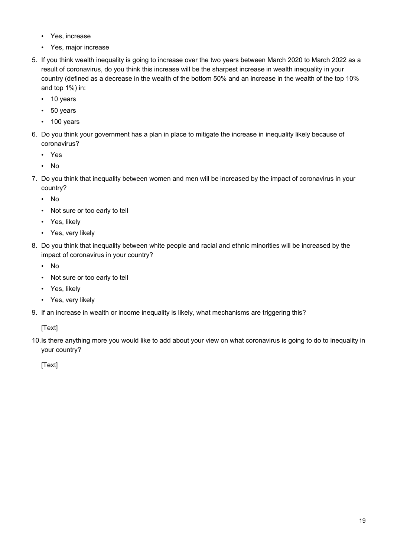- Yes, increase
- Yes, major increase
- 5. If you think wealth inequality is going to increase over the two years between March 2020 to March 2022 as a result of coronavirus, do you think this increase will be the sharpest increase in wealth inequality in your country (defined as a decrease in the wealth of the bottom 50% and an increase in the wealth of the top 10% and top 1%) in:
	- 10 years
	- 50 years
	- 100 years
- 6. Do you think your government has a plan in place to mitigate the increase in inequality likely because of coronavirus?
	- Yes
	- No
- 7. Do you think that inequality between women and men will be increased by the impact of coronavirus in your country?
	- No
	- Not sure or too early to tell
	- Yes, likely
	- Yes, very likely
- 8. Do you think that inequality between white people and racial and ethnic minorities will be increased by the impact of coronavirus in your country?
	- No
	- Not sure or too early to tell
	- Yes, likely
	- Yes, very likely
- 9. If an increase in wealth or income inequality is likely, what mechanisms are triggering this?

[Text]

10.Is there anything more you would like to add about your view on what coronavirus is going to do to inequality in your country?

<span id="page-18-0"></span>[Text]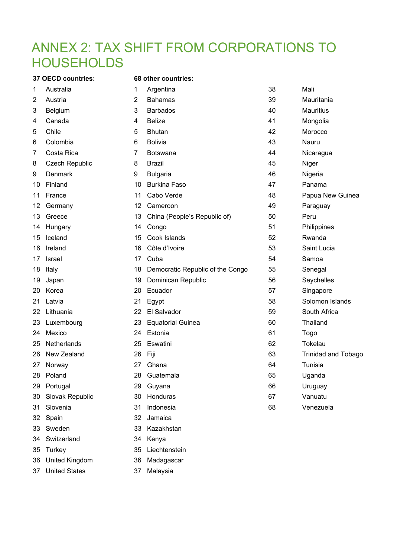### ANNEX 2: TAX SHIFT FROM CORPORATIONS TO **HOUSEHOLDS**

**37 OECD countries: 68 other countries:**

| 1  | Australia       | 1              | Argentina                        | 38 | Mali                       |
|----|-----------------|----------------|----------------------------------|----|----------------------------|
| 2  | Austria         | $\overline{2}$ | <b>Bahamas</b>                   | 39 | Mauritania                 |
| 3  | <b>Belgium</b>  | 3              | <b>Barbados</b>                  | 40 | <b>Mauritius</b>           |
| 4  | Canada          | 4              | <b>Belize</b>                    | 41 | Mongolia                   |
| 5  | Chile           | 5              | <b>Bhutan</b>                    | 42 | Morocco                    |
| 6  | Colombia        | 6              | <b>Bolivia</b>                   | 43 | Nauru                      |
| 7  | Costa Rica      | 7              | <b>Botswana</b>                  | 44 | Nicaragua                  |
| 8  | Czech Republic  | 8              | <b>Brazil</b>                    | 45 | Niger                      |
| 9  | <b>Denmark</b>  | 9              | <b>Bulgaria</b>                  | 46 | Nigeria                    |
| 10 | Finland         | 10             | <b>Burkina Faso</b>              | 47 | Panama                     |
| 11 | France          | 11             | Cabo Verde                       | 48 | Papua New Guinea           |
| 12 | Germany         | 12             | Cameroon                         | 49 | Paraguay                   |
| 13 | Greece          | 13             | China (People's Republic of)     | 50 | Peru                       |
| 14 | Hungary         | 14             | Congo                            | 51 | Philippines                |
| 15 | Iceland         | 15             | Cook Islands                     | 52 | Rwanda                     |
| 16 | Ireland         | 16             | Côte d'Ivoire                    | 53 | Saint Lucia                |
| 17 | Israel          | 17             | Cuba                             | 54 | Samoa                      |
| 18 | Italy           | 18             | Democratic Republic of the Congo | 55 | Senegal                    |
| 19 | Japan           | 19             | Dominican Republic               | 56 | Seychelles                 |
| 20 | Korea           | 20             | Ecuador                          | 57 | Singapore                  |
| 21 | Latvia          | 21             | Egypt                            | 58 | Solomon Islands            |
| 22 | Lithuania       | 22             | El Salvador                      | 59 | South Africa               |
| 23 | Luxembourg      | 23             | <b>Equatorial Guinea</b>         | 60 | Thailand                   |
| 24 | Mexico          | 24             | Estonia                          | 61 | Togo                       |
| 25 | Netherlands     | 25             | Eswatini                         | 62 | Tokelau                    |
| 26 | New Zealand     | 26             | Fiji                             | 63 | <b>Trinidad and Tobago</b> |
| 27 | Norway          | 27             | Ghana                            | 64 | Tunisia                    |
| 28 | Poland          | 28             | Guatemala                        | 65 | Uganda                     |
| 29 | Portugal        | 29             | Guyana                           | 66 | Uruguay                    |
| 30 | Slovak Republic | 30             | Honduras                         | 67 | Vanuatu                    |
| 31 | Slovenia        | 31             | Indonesia                        | 68 | Venezuela                  |
| 32 | Spain           | 32             | Jamaica                          |    |                            |
| 33 | Sweden          | 33             | Kazakhstan                       |    |                            |
| 34 | Switzerland     | 34             | Kenya                            |    |                            |
| 35 | Turkey          | 35             | Liechtenstein                    |    |                            |

- United Kingdom 36 Madagascar
- United States 37 Malaysia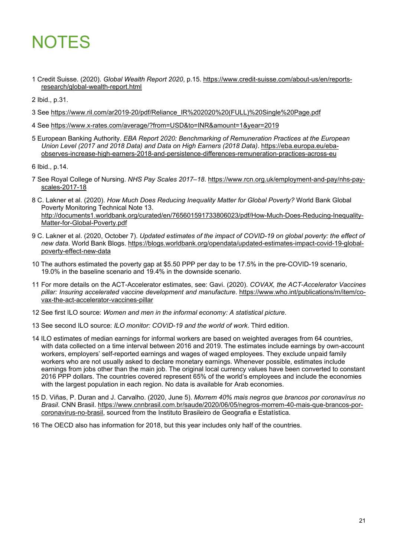## **NOTES**

1 Credit Suisse. (2020). *Global Wealth Report 2020*, p.15. [https://www.credit-suisse.com/about-us/en/reports](https://www.credit-suisse.com/about-us/en/reports-research/global-wealth-report.html)[research/global-wealth-report.html](https://www.credit-suisse.com/about-us/en/reports-research/global-wealth-report.html)

2 Ibid., p.31.

- 3 See [https://www.ril.com/ar2019-20/pdf/Reliance\\_IR%202020%20\(FULL\)%20Single%20Page.pdf](https://www.ril.com/ar2019-20/pdf/Reliance_IR%202020%20(FULL)%20Single%20Page.pdf)
- 4 See<https://www.x-rates.com/average/?from=USD&to=INR&amount=1&year=2019>
- 5 European Banking Authority. *EBA Report 2020: Benchmarking of Remuneration Practices at the European Union Level (2017 and 2018 Data) and Data on High Earners (2018 Data)*. [https://eba.europa.eu/eba](https://eba.europa.eu/eba-observes-increase-high-earners-2018-and-persistence-differences-remuneration-practices-across-eu)[observes-increase-high-earners-2018-and-persistence-differences-remuneration-practices-across-eu](https://eba.europa.eu/eba-observes-increase-high-earners-2018-and-persistence-differences-remuneration-practices-across-eu)

6 Ibid., p.14.

- 7 See Royal College of Nursing. *NHS Pay Scales 2017–18*. [https://www.rcn.org.uk/employment-and-pay/nhs-pay](https://www.rcn.org.uk/employment-and-pay/nhs-pay-scales-2017-18)[scales-2017-18](https://www.rcn.org.uk/employment-and-pay/nhs-pay-scales-2017-18)
- 8 C. Lakner et al. (2020). *How Much Does Reducing Inequality Matter for Global Poverty?* World Bank Global Poverty Monitoring Technical Note 13. [http://documents1.worldbank.org/curated/en/765601591733806023/pdf/How-Much-Does-Reducing-Inequality-](http://documents1.worldbank.org/curated/en/765601591733806023/pdf/How-Much-Does-Reducing-Inequality-Matter-for-Global-Poverty.pdf)[Matter-for-Global-Poverty.pdf](http://documents1.worldbank.org/curated/en/765601591733806023/pdf/How-Much-Does-Reducing-Inequality-Matter-for-Global-Poverty.pdf)
- 9 C. Lakner et al. (2020, October 7). *Updated estimates of the impact of COVID-19 on global poverty: the effect of new data*. World Bank Blogs. [https://blogs.worldbank.org/opendata/updated-estimates-impact-covid-19-global](https://blogs.worldbank.org/opendata/updated-estimates-impact-covid-19-global-poverty-effect-new-data)[poverty-effect-new-data](https://blogs.worldbank.org/opendata/updated-estimates-impact-covid-19-global-poverty-effect-new-data)
- 10 The authors estimated the poverty gap at \$5.50 PPP per day to be 17.5% in the pre-COVID-19 scenario, 19.0% in the baseline scenario and 19.4% in the downside scenario.
- 11 For more details on the ACT-Accelerator estimates, see: Gavi. (2020). *COVAX, the ACT-Accelerator Vaccines pillar: Insuring accelerated vaccine development and manufacture*. [https://www.who.int/publications/m/item/co](https://www.who.int/publications/m/item/covax-the-act-accelerator-vaccines-pillar)[vax-the-act-accelerator-vaccines-pillar](https://www.who.int/publications/m/item/covax-the-act-accelerator-vaccines-pillar)
- 12 See first ILO source: *Women and men in the informal economy: A statistical picture*.
- 13 See second ILO source: *ILO monitor: COVID-19 and the world of work*. Third edition.
- 14 ILO estimates of median earnings for informal workers are based on weighted averages from 64 countries, with data collected on a time interval between 2016 and 2019. The estimates include earnings by own-account workers, employers' self-reported earnings and wages of waged employees. They exclude unpaid family workers who are not usually asked to declare monetary earnings. Whenever possible, estimates include earnings from jobs other than the main job. The original local currency values have been converted to constant 2016 PPP dollars. The countries covered represent 65% of the world's employees and include the economies with the largest population in each region. No data is available for Arab economies.
- 15 D. Viñas, P. Duran and J. Carvalho. (2020, June 5). *Morrem 40% mais negros que brancos por coronavírus no Brasil*. CNN Brasil. [https://www.cnnbrasil.com.br/saude/2020/06/05/negros-morrem-40-mais-que-brancos-por](https://www.cnnbrasil.com.br/saude/2020/06/05/negros-morrem-40-mais-que-brancos-por-coronavirus-no-brasil)[coronavirus-no-brasil,](https://www.cnnbrasil.com.br/saude/2020/06/05/negros-morrem-40-mais-que-brancos-por-coronavirus-no-brasil) sourced from the Instituto Brasileiro de Geografia e Estatística.
- 16 The OECD also has information for 2018, but this year includes only half of the countries.